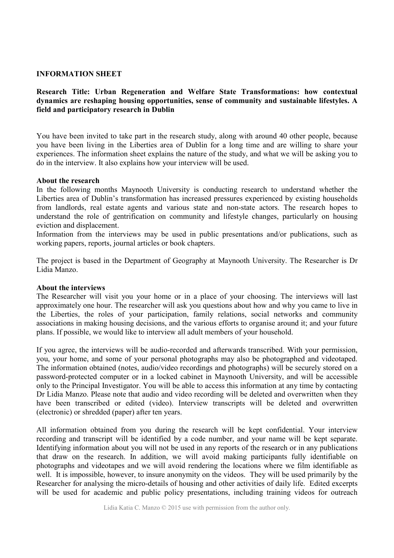## **INFORMATION SHEET**

# **Research Title: Urban Regeneration and Welfare State Transformations: how contextual dynamics are reshaping housing opportunities, sense of community and sustainable lifestyles. A field and participatory research in Dublin**

You have been invited to take part in the research study, along with around 40 other people, because you have been living in the Liberties area of Dublin for a long time and are willing to share your experiences. The information sheet explains the nature of the study, and what we will be asking you to do in the interview. It also explains how your interview will be used.

### **About the research**

In the following months Maynooth University is conducting research to understand whether the Liberties area of Dublin's transformation has increased pressures experienced by existing households from landlords, real estate agents and various state and non-state actors. The research hopes to understand the role of gentrification on community and lifestyle changes, particularly on housing eviction and displacement.

Information from the interviews may be used in public presentations and/or publications, such as working papers, reports, journal articles or book chapters.

The project is based in the Department of Geography at Maynooth University. The Researcher is Dr Lidia Manzo.

### **About the interviews**

The Researcher will visit you your home or in a place of your choosing. The interviews will last approximately one hour. The researcher will ask you questions about how and why you came to live in the Liberties, the roles of your participation, family relations, social networks and community associations in making housing decisions, and the various efforts to organise around it; and your future plans. If possible, we would like to interview all adult members of your household.

If you agree, the interviews will be audio-recorded and afterwards transcribed. With your permission, you, your home, and some of your personal photographs may also be photographed and videotaped. The information obtained (notes, audio/video recordings and photographs) will be securely stored on a password-protected computer or in a locked cabinet in Maynooth University, and will be accessible only to the Principal Investigator. You will be able to access this information at any time by contacting Dr Lidia Manzo. Please note that audio and video recording will be deleted and overwritten when they have been transcribed or edited (video). Interview transcripts will be deleted and overwritten (electronic) or shredded (paper) after ten years.

All information obtained from you during the research will be kept confidential. Your interview recording and transcript will be identified by a code number, and your name will be kept separate. Identifying information about you will not be used in any reports of the research or in any publications that draw on the research. In addition, we will avoid making participants fully identifiable on photographs and videotapes and we will avoid rendering the locations where we film identifiable as well. It is impossible, however, to insure anonymity on the videos. They will be used primarily by the Researcher for analysing the micro-details of housing and other activities of daily life. Edited excerpts will be used for academic and public policy presentations, including training videos for outreach